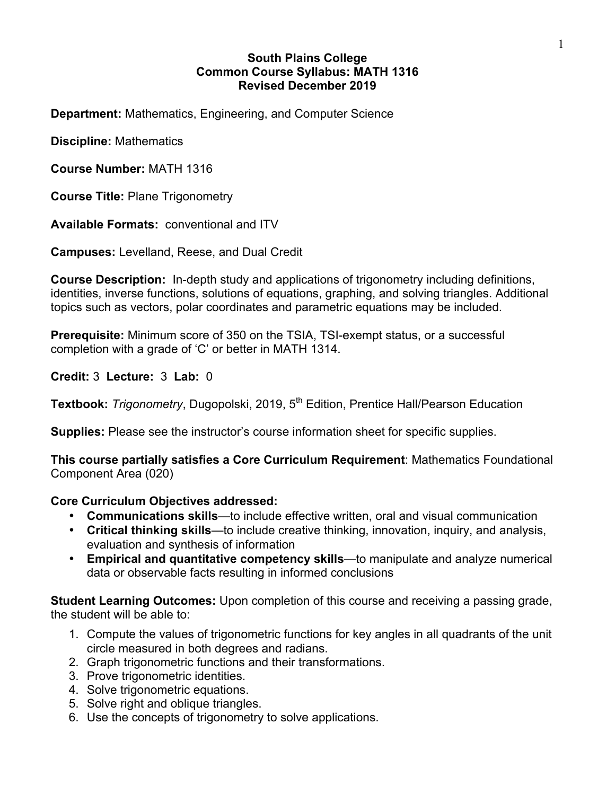## **South Plains College Common Course Syllabus: MATH 1316 Revised December 2019**

**Department:** Mathematics, Engineering, and Computer Science

**Discipline:** Mathematics

**Course Number:** MATH 1316

**Course Title:** Plane Trigonometry

**Available Formats:** conventional and ITV

**Campuses:** Levelland, Reese, and Dual Credit

**Course Description:** In-depth study and applications of trigonometry including definitions, identities, inverse functions, solutions of equations, graphing, and solving triangles. Additional topics such as vectors, polar coordinates and parametric equations may be included.

**Prerequisite:** Minimum score of 350 on the TSIA, TSI-exempt status, or a successful completion with a grade of 'C' or better in MATH 1314.

**Credit:** 3 **Lecture:** 3 **Lab:** 0

**Textbook:** *Trigonometry*, Dugopolski, 2019, 5<sup>th</sup> Edition, Prentice Hall/Pearson Education

**Supplies:** Please see the instructor's course information sheet for specific supplies.

**This course partially satisfies a Core Curriculum Requirement**: Mathematics Foundational Component Area (020)

## **Core Curriculum Objectives addressed:**

- **Communications skills**—to include effective written, oral and visual communication
- **Critical thinking skills**—to include creative thinking, innovation, inquiry, and analysis, evaluation and synthesis of information
- **Empirical and quantitative competency skills**—to manipulate and analyze numerical data or observable facts resulting in informed conclusions

**Student Learning Outcomes:** Upon completion of this course and receiving a passing grade, the student will be able to:

- 1. Compute the values of trigonometric functions for key angles in all quadrants of the unit circle measured in both degrees and radians.
- 2. Graph trigonometric functions and their transformations.
- 3. Prove trigonometric identities.
- 4. Solve trigonometric equations.
- 5. Solve right and oblique triangles.
- 6. Use the concepts of trigonometry to solve applications.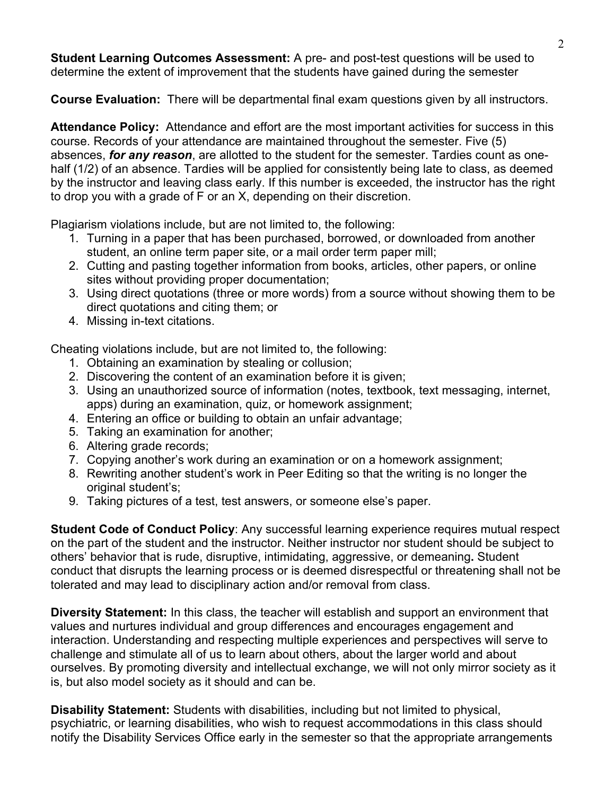**Student Learning Outcomes Assessment:** A pre- and post-test questions will be used to determine the extent of improvement that the students have gained during the semester

**Course Evaluation:** There will be departmental final exam questions given by all instructors.

**Attendance Policy:** Attendance and effort are the most important activities for success in this course. Records of your attendance are maintained throughout the semester. Five (5) absences, *for any reason*, are allotted to the student for the semester. Tardies count as onehalf (1/2) of an absence. Tardies will be applied for consistently being late to class, as deemed by the instructor and leaving class early. If this number is exceeded, the instructor has the right to drop you with a grade of F or an X, depending on their discretion.

Plagiarism violations include, but are not limited to, the following:

- 1. Turning in a paper that has been purchased, borrowed, or downloaded from another student, an online term paper site, or a mail order term paper mill;
- 2. Cutting and pasting together information from books, articles, other papers, or online sites without providing proper documentation;
- 3. Using direct quotations (three or more words) from a source without showing them to be direct quotations and citing them; or
- 4. Missing in-text citations.

Cheating violations include, but are not limited to, the following:

- 1. Obtaining an examination by stealing or collusion;
- 2. Discovering the content of an examination before it is given;
- 3. Using an unauthorized source of information (notes, textbook, text messaging, internet, apps) during an examination, quiz, or homework assignment;
- 4. Entering an office or building to obtain an unfair advantage;
- 5. Taking an examination for another;
- 6. Altering grade records;
- 7. Copying another's work during an examination or on a homework assignment;
- 8. Rewriting another student's work in Peer Editing so that the writing is no longer the original student's;
- 9. Taking pictures of a test, test answers, or someone else's paper.

**Student Code of Conduct Policy**: Any successful learning experience requires mutual respect on the part of the student and the instructor. Neither instructor nor student should be subject to others' behavior that is rude, disruptive, intimidating, aggressive, or demeaning**.** Student conduct that disrupts the learning process or is deemed disrespectful or threatening shall not be tolerated and may lead to disciplinary action and/or removal from class.

**Diversity Statement:** In this class, the teacher will establish and support an environment that values and nurtures individual and group differences and encourages engagement and interaction. Understanding and respecting multiple experiences and perspectives will serve to challenge and stimulate all of us to learn about others, about the larger world and about ourselves. By promoting diversity and intellectual exchange, we will not only mirror society as it is, but also model society as it should and can be.

**Disability Statement:** Students with disabilities, including but not limited to physical, psychiatric, or learning disabilities, who wish to request accommodations in this class should notify the Disability Services Office early in the semester so that the appropriate arrangements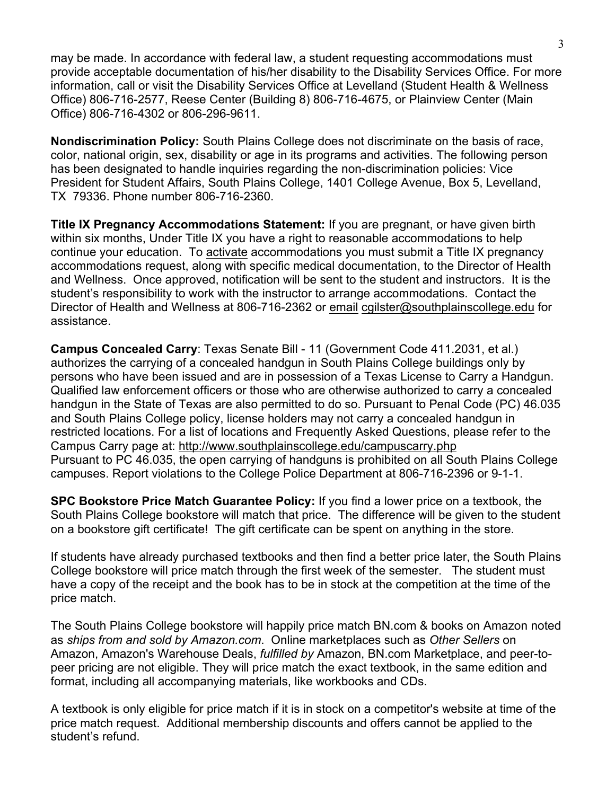may be made. In accordance with federal law, a student requesting accommodations must provide acceptable documentation of his/her disability to the Disability Services Office. For more information, call or visit the Disability Services Office at Levelland (Student Health & Wellness Office) 806-716-2577, Reese Center (Building 8) 806-716-4675, or Plainview Center (Main Office) 806-716-4302 or 806-296-9611.

**Nondiscrimination Policy:** South Plains College does not discriminate on the basis of race, color, national origin, sex, disability or age in its programs and activities. The following person has been designated to handle inquiries regarding the non-discrimination policies: Vice President for Student Affairs, South Plains College, 1401 College Avenue, Box 5, Levelland, TX 79336. Phone number 806-716-2360.

**Title IX Pregnancy Accommodations Statement:** If you are pregnant, or have given birth within six months, Under Title IX you have a right to reasonable accommodations to help continue your education. To activate accommodations you must submit a Title IX pregnancy accommodations request, along with specific medical documentation, to the Director of Health and Wellness. Once approved, notification will be sent to the student and instructors. It is the student's responsibility to work with the instructor to arrange accommodations. Contact the Director of Health and Wellness at 806-716-2362 or email cgilster@southplainscollege.edu for assistance.

**Campus Concealed Carry**: Texas Senate Bill - 11 (Government Code 411.2031, et al.) authorizes the carrying of a concealed handgun in South Plains College buildings only by persons who have been issued and are in possession of a Texas License to Carry a Handgun. Qualified law enforcement officers or those who are otherwise authorized to carry a concealed handgun in the State of Texas are also permitted to do so. Pursuant to Penal Code (PC) 46.035 and South Plains College policy, license holders may not carry a concealed handgun in restricted locations. For a list of locations and Frequently Asked Questions, please refer to the Campus Carry page at: http://www.southplainscollege.edu/campuscarry.php Pursuant to PC 46.035, the open carrying of handguns is prohibited on all South Plains College campuses. Report violations to the College Police Department at 806-716-2396 or 9-1-1.

**SPC Bookstore Price Match Guarantee Policy:** If you find a lower price on a textbook, the South Plains College bookstore will match that price. The difference will be given to the student on a bookstore gift certificate! The gift certificate can be spent on anything in the store.

If students have already purchased textbooks and then find a better price later, the South Plains College bookstore will price match through the first week of the semester. The student must have a copy of the receipt and the book has to be in stock at the competition at the time of the price match.

The South Plains College bookstore will happily price match BN.com & books on Amazon noted as *ships from and sold by Amazon.com*. Online marketplaces such as *Other Sellers* on Amazon, Amazon's Warehouse Deals, *fulfilled by* Amazon, BN.com Marketplace, and peer-topeer pricing are not eligible. They will price match the exact textbook, in the same edition and format, including all accompanying materials, like workbooks and CDs.

A textbook is only eligible for price match if it is in stock on a competitor's website at time of the price match request. Additional membership discounts and offers cannot be applied to the student's refund.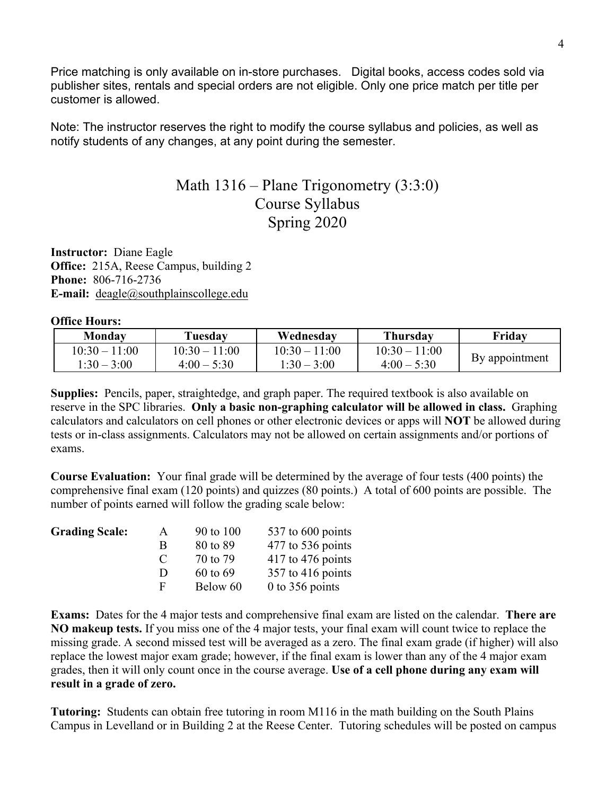Price matching is only available on in-store purchases. Digital books, access codes sold via publisher sites, rentals and special orders are not eligible. Only one price match per title per customer is allowed.

Note: The instructor reserves the right to modify the course syllabus and policies, as well as notify students of any changes, at any point during the semester.

## Math 1316 – Plane Trigonometry (3:3:0) Course Syllabus Spring 2020

**Instructor:** Diane Eagle **Office:** 215A, Reese Campus, building 2 **Phone:** 806-716-2736 **E-mail:** deagle@southplainscollege.edu

**Office Hours:**

| Monday          | Tuesdav         | Wednesdav       | Thursdav        | Fridav         |  |
|-----------------|-----------------|-----------------|-----------------|----------------|--|
| $10.30 - 11.00$ | $10.30 - 11.00$ | $10.30 - 11.00$ | $10:30 - 11:00$ |                |  |
| $1:30 - 3:00$   | $4.00 - 5.30$   | $1:30 - 3:00$   | $4:00-5:30$     | By appointment |  |

**Supplies:** Pencils, paper, straightedge, and graph paper. The required textbook is also available on reserve in the SPC libraries. **Only a basic non-graphing calculator will be allowed in class.** Graphing calculators and calculators on cell phones or other electronic devices or apps will **NOT** be allowed during tests or in-class assignments. Calculators may not be allowed on certain assignments and/or portions of exams.

**Course Evaluation:** Your final grade will be determined by the average of four tests (400 points) the comprehensive final exam (120 points) and quizzes (80 points.) A total of 600 points are possible. The number of points earned will follow the grading scale below:

| <b>Grading Scale:</b> | A             | 90 to 100 | 537 to 600 points   |
|-----------------------|---------------|-----------|---------------------|
|                       | B             | 80 to 89  | 477 to 536 points   |
|                       | $\mathcal{C}$ | 70 to 79  | $417$ to 476 points |
|                       | Ð             | 60 to 69  | $357$ to 416 points |
|                       | E             | Below 60  | $0$ to 356 points   |

**Exams:** Dates for the 4 major tests and comprehensive final exam are listed on the calendar. **There are NO makeup tests.** If you miss one of the 4 major tests, your final exam will count twice to replace the missing grade. A second missed test will be averaged as a zero. The final exam grade (if higher) will also replace the lowest major exam grade; however, if the final exam is lower than any of the 4 major exam grades, then it will only count once in the course average. **Use of a cell phone during any exam will result in a grade of zero.**

**Tutoring:** Students can obtain free tutoring in room M116 in the math building on the South Plains Campus in Levelland or in Building 2 at the Reese Center. Tutoring schedules will be posted on campus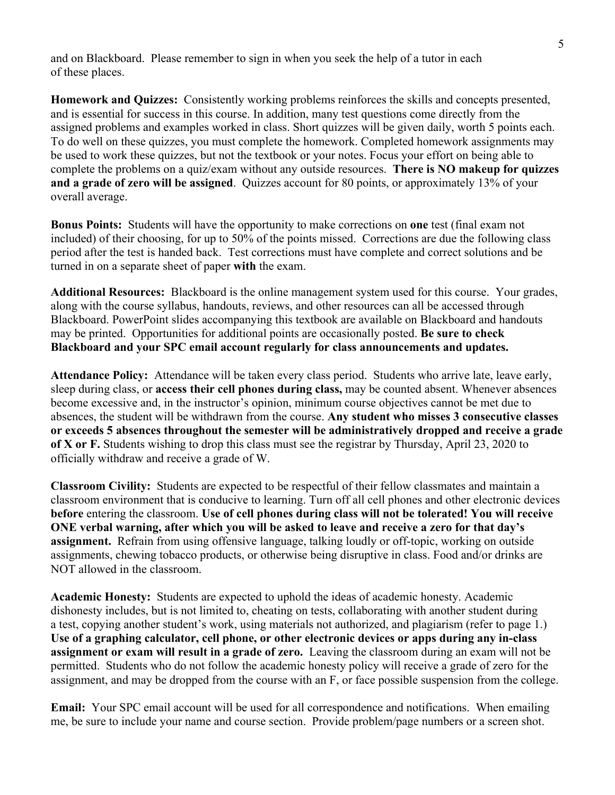and on Blackboard. Please remember to sign in when you seek the help of a tutor in each of these places.

**Homework and Quizzes:** Consistently working problems reinforces the skills and concepts presented, and is essential for success in this course. In addition, many test questions come directly from the assigned problems and examples worked in class. Short quizzes will be given daily, worth 5 points each. To do well on these quizzes, you must complete the homework. Completed homework assignments may be used to work these quizzes, but not the textbook or your notes. Focus your effort on being able to complete the problems on a quiz/exam without any outside resources. **There is NO makeup for quizzes and a grade of zero will be assigned**. Quizzes account for 80 points, or approximately 13% of your overall average.

**Bonus Points:** Students will have the opportunity to make corrections on **one** test (final exam not included) of their choosing, for up to 50% of the points missed. Corrections are due the following class period after the test is handed back. Test corrections must have complete and correct solutions and be turned in on a separate sheet of paper **with** the exam.

**Additional Resources:** Blackboard is the online management system used for this course. Your grades, along with the course syllabus, handouts, reviews, and other resources can all be accessed through Blackboard. PowerPoint slides accompanying this textbook are available on Blackboard and handouts may be printed. Opportunities for additional points are occasionally posted. **Be sure to check Blackboard and your SPC email account regularly for class announcements and updates.**

**Attendance Policy:** Attendance will be taken every class period. Students who arrive late, leave early, sleep during class, or **access their cell phones during class,** may be counted absent. Whenever absences become excessive and, in the instructor's opinion, minimum course objectives cannot be met due to absences, the student will be withdrawn from the course. **Any student who misses 3 consecutive classes or exceeds 5 absences throughout the semester will be administratively dropped and receive a grade of X or F.** Students wishing to drop this class must see the registrar by Thursday, April 23, 2020 to officially withdraw and receive a grade of W.

**Classroom Civility:** Students are expected to be respectful of their fellow classmates and maintain a classroom environment that is conducive to learning. Turn off all cell phones and other electronic devices **before** entering the classroom. **Use of cell phones during class will not be tolerated! You will receive ONE verbal warning, after which you will be asked to leave and receive a zero for that day's assignment.** Refrain from using offensive language, talking loudly or off-topic, working on outside assignments, chewing tobacco products, or otherwise being disruptive in class. Food and/or drinks are NOT allowed in the classroom.

**Academic Honesty:** Students are expected to uphold the ideas of academic honesty. Academic dishonesty includes, but is not limited to, cheating on tests, collaborating with another student during a test, copying another student's work, using materials not authorized, and plagiarism (refer to page 1.) **Use of a graphing calculator, cell phone, or other electronic devices or apps during any in-class assignment or exam will result in a grade of zero.** Leaving the classroom during an exam will not be permitted. Students who do not follow the academic honesty policy will receive a grade of zero for the assignment, and may be dropped from the course with an F, or face possible suspension from the college.

**Email:** Your SPC email account will be used for all correspondence and notifications. When emailing me, be sure to include your name and course section. Provide problem/page numbers or a screen shot.